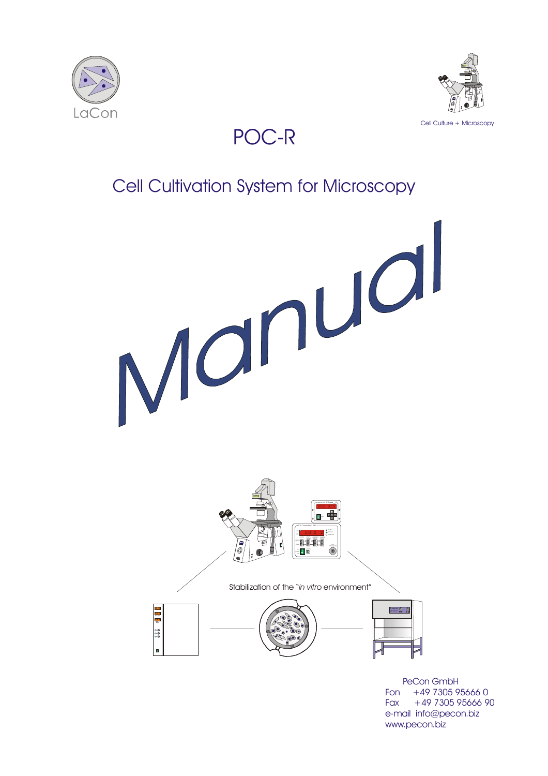



# POC-R

# Cell Cultivation System for Microscopy



 PeCon GmbH Fon +49 7305 95666 0 Fax  $+49$  7305 95666 90 e-mail info@pecon.biz www.pecon.biz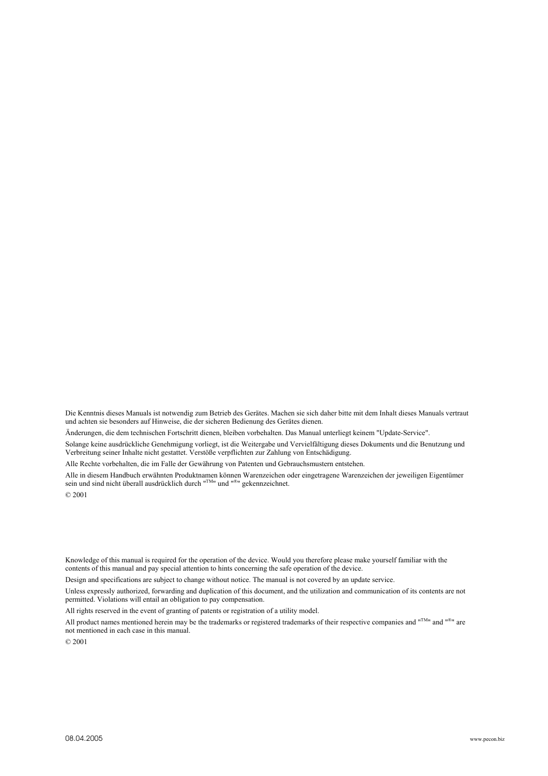Die Kenntnis dieses Manuals ist notwendig zum Betrieb des Gerätes. Machen sie sich daher bitte mit dem Inhalt dieses Manuals vertraut und achten sie besonders auf Hinweise, die der sicheren Bedienung des Gerätes dienen.

Änderungen, die dem technischen Fortschritt dienen, bleiben vorbehalten. Das Manual unterliegt keinem "Update-Service".

Solange keine ausdrückliche Genehmigung vorliegt, ist die Weitergabe und Vervielfältigung dieses Dokuments und die Benutzung und Verbreitung seiner Inhalte nicht gestattet. Verstöße verpflichten zur Zahlung von Entschädigung.

Alle Rechte vorbehalten, die im Falle der Gewährung von Patenten und Gebrauchsmustern entstehen.

Alle in diesem Handbuch erwähnten Produktnamen können Warenzeichen oder eingetragene Warenzeichen der jeweiligen Eigentümer sein und sind nicht überall ausdrücklich durch "TM" und "®" gekennzeichnet.

```
© 2001
```
Knowledge of this manual is required for the operation of the device. Would you therefore please make yourself familiar with the contents of this manual and pay special attention to hints concerning the safe operation of the device.

Design and specifications are subject to change without notice. The manual is not covered by an update service.

Unless expressly authorized, forwarding and duplication of this document, and the utilization and communication of its contents are not permitted. Violations will entail an obligation to pay compensation.

All rights reserved in the event of granting of patents or registration of a utility model.

All product names mentioned herein may be the trademarks or registered trademarks of their respective companies and " $T<sup>M</sup>$ " and " $^{\otimes n}$ " are not mentioned in each case in this manual.

© 2001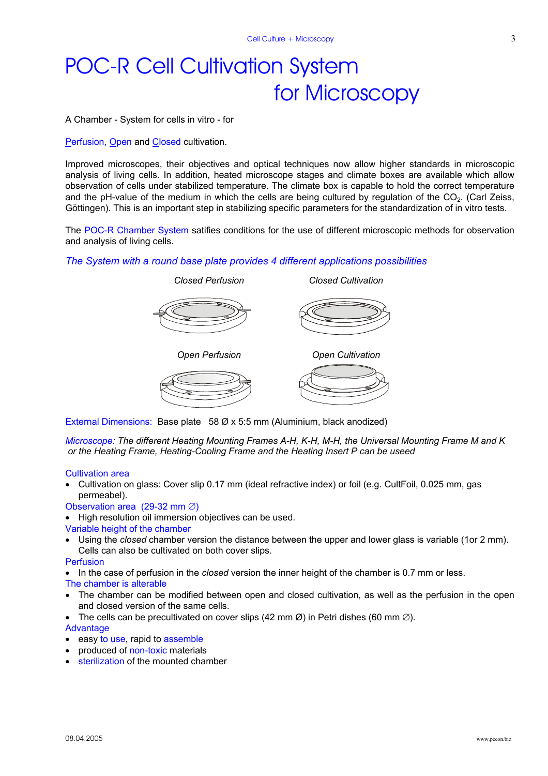# POC-R Cell Cultivation System for Microscopy

A Chamber - System for cells in vitro - for

Perfusion, Open and Closed cultivation.

Improved microscopes, their objectives and optical techniques now allow higher standards in microscopic analysis of living cells. In addition, heated microscope stages and climate boxes are available which allow observation of cells under stabilized temperature. The climate box is capable to hold the correct temperature and the pH-value of the medium in which the cells are being cultured by regulation of the CO<sub>2</sub>. (Carl Zeiss, Göttingen). This is an important step in stabilizing specific parameters for the standardization of in vitro tests.

The POC-R Chamber System satifies conditions for the use of different microscopic methods for observation and analysis of living cells.

#### *The System with a round base plate provides 4 different applications possibilities*



External Dimensions: Base plate58 Ø x 5:5 mm (Aluminium, black anodized)

*Microscope: The different Heating Mounting Frames A-H, K-H, M-H, the Universal Mounting Frame M and K or the Heating Frame, Heating-Cooling Frame and the Heating Insert P can be useed* 

#### Cultivation area

• Cultivation on glass: Cover slip 0.17 mm (ideal refractive index) or foil (e.g. CultFoil, 0.025 mm, gas permeabel).

Observation area (29-32 mm ∅)

• High resolution oil immersion objectives can be used.

Variable height of the chamber

• Using the *closed* chamber version the distance between the upper and lower glass is variable (1or 2 mm). Cells can also be cultivated on both cover slips.

#### Perfusion

• In the case of perfusion in the *closed* version the inner height of the chamber is 0.7 mm or less.

The chamber is alterable

- The chamber can be modified between open and closed cultivation, as well as the perfusion in the open and closed version of the same cells.
- The cells can be precultivated on cover slips (42 mm  $\varnothing$ ) in Petri dishes (60 mm  $\varnothing$ ).

#### Advantage

- easy to use, rapid to assemble
- produced of non-toxic materials
- sterilization of the mounted chamber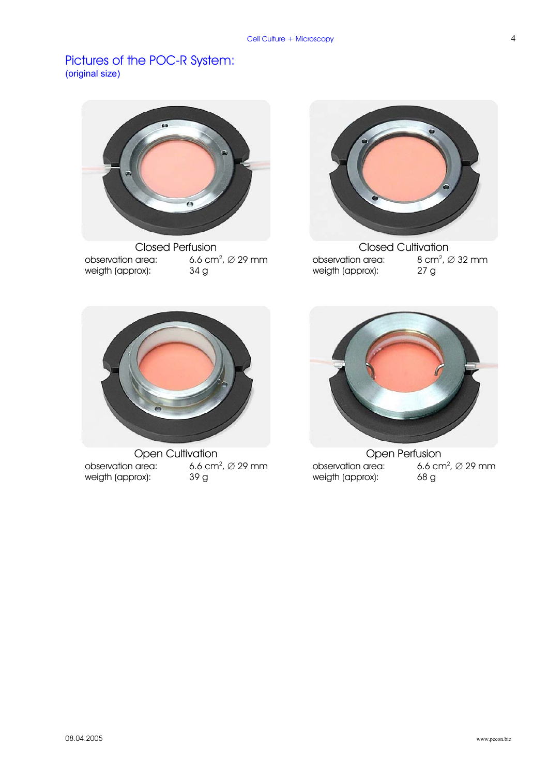### Pictures of the POC-R System: (original size)



Closed Perfusion Closed Cultivation observation area: 6.6 c<br>weigth (approx): 34 g 6.6 cm<sup>2</sup>,  $\varnothing$  29 mm weigth (approx):



observation area: 8 cm<br>
weigth (approx): 27 g  $8 \text{ cm}^2$ ,  $\varnothing$  32 mm weigth (approx):



Open Cultivation **Open Perfusion** observation area:  $, 6.6$  cm<sup>2</sup>,  $\varnothing$  29 mm weigth (approx): 39 g



observation area: 6.6 cm<sup>2</sup>,  $\varnothing$  29 mm weigth (approx): 68 g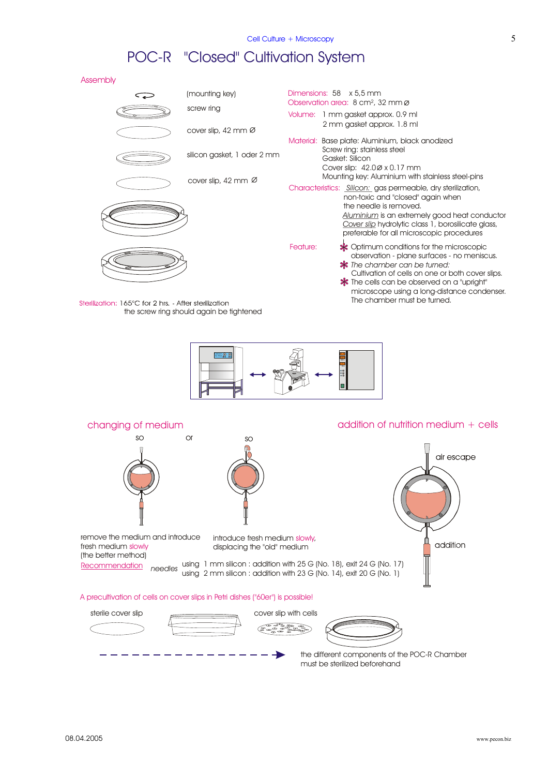# POC-R "Closed" Cultivation System

Assembly





### changing of medium and the control of nutrition medium + cells so or so air escape remove the medium and introduce introduce fresh medium slowly, addition displacing the "old" medium fresh medium slowly (the better method) using 1 mm silicon : addition with 25 G (No. 18), exit 24 G (No. 17) Recommendation  *needles* using 2 mm silicon : addition with 23 G (No. 14), exit 20 G (No. 1) A precultivation of cells on cover slips in Petri dishes ("60er") is possible! sterile cover slip cover slip with cells

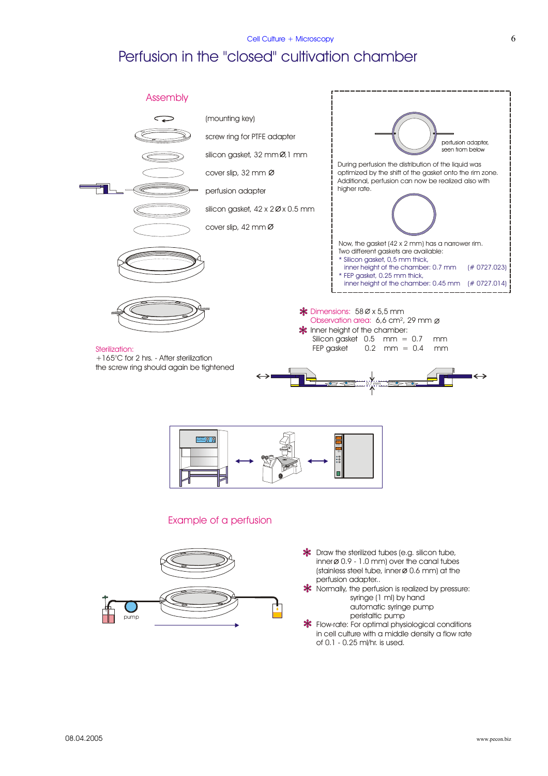#### $Cell$  Culture + Microscopy 6

## Perfusion in the "closed" cultivation chamber

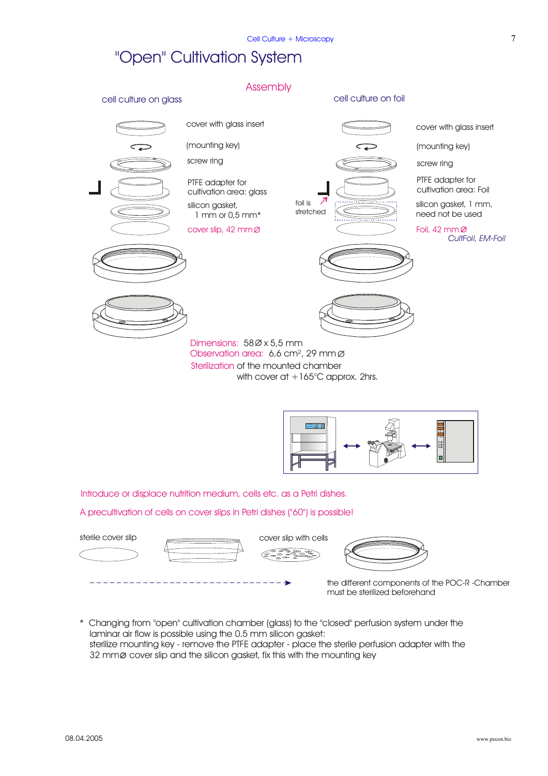## "Open" Cultivation System





Introduce or displace nutrition medium, cells etc. as a Petri dishes.

A precultivation of cells on cover slips in Petri dishes ("60") is possible!









the different components of the POC-R -Chamber must be sterilized beforehand

\* Changing from "open" cultivation chamber (glass) to the "closed" perfusion system under the laminar air flow is possible using the 0.5 mm silicon gasket: sterilize mounting key - remove the PTFE adapter - place the sterile perfusion adapter with the 32 mm & cover slip and the silicon gasket, fix this with the mounting key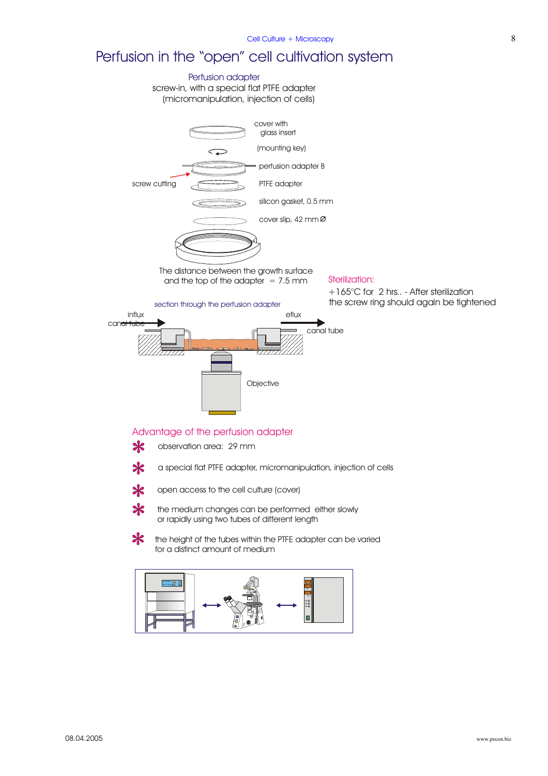# Perfusion in the "open" cell cultivation system

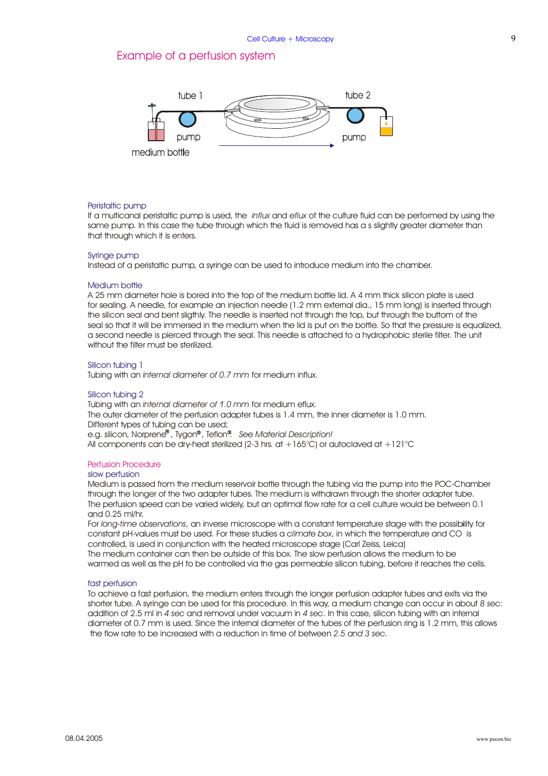### Example of a perfusion system



#### Peristaltic pump

If a multicanal peristaltic pump is used, the *influx* and e*flux* of the culture fluid can be performed by using the same pump. In this case the tube through which the fluid is removed has a s slightly greater diameter than that through which it is enters.

#### Syringe pump

Instead of a peristaltic pump, a syringe can be used to introduce medium into the chamber.

#### Medium bottle

A 25 mm diameter hole is bored into the top of the medium bottle lid. A 4 mm thick silicon plate is used for sealing. A needle, for example an injection needle (1.2 mm external dia., 15 mm long) is inserted through the silicon seal and bent sligthly. The needle is inserted not through the top, but through the buttom of the seal so that it will be immersed in the medium when the lid is put on the bottle. So that the pressure is equalized, a second needle is pierced through the seal. This needle is attached to a hydrophobic sterile filter. The unit without the filter must be sterilized.

#### Silicon tubing 1

Tubing with an *internal diameter of 0.7 mm* for medium influx.

#### Silicon tubing 2

Tubing with an *internal diameter of 1.0 mm* for medium eflux. The outer diameter of the perfusion adapter tubes is 1.4 mm, the inner diameter is 1.0 mm. Different types of tubing can be used; e.g. silicon, Norprene<sup>®</sup> , Tygon® , Teflon®. See Material Description! All components can be dry-heat sterilized (2-3 hrs. at  $+165^{\circ}$ C) or autoclaved at  $+121^{\circ}$ C

#### Perfusion Procedure

#### s low perfusion

Medium is passed from the medium reservoir bottle through the tubing via the pump into the POC-Chamber through the longer of the two adapter tubes. The medium is withdrawn through the shorter adapter tube. The perfusion speed can be varied widely, but an optimal flow rate for a cell culture would be between 0.1 and 0.25 ml/hr.

For *long-time observations ,* an inverse microscope with a constant temperature stage with the possibility for constant pH-values must be used. For these studies a climate box, in which the temperature and CO is controlled, is used in conjunction with the heated microscope stage (Carl Zeiss, Leica) The medium container can then be outside of this box. The slow perfusion allows the medium to be warmed as well as the pH to be controlled via the gas permeable silicon tubing, before it reaches the cells.

#### fast perfusion

To achieve a fast perfusion, the medium enters through the longer perfusion adapter tubes and exits via the shorter tube. A syringe can be used for this procedure. In this way, a medium change can occur in about 8 sec: addition of 2.5 ml in 4 sec and removal under vacuum in 4 sec. In this case, silicon tubing with an internal diameter of 0.7 mm is used. Since the internal diameter of the tubes of the perfusion ring is 1.2 mm, this allows the flow rate to be increased with a reduction in time of between 2.5 and 3 sec.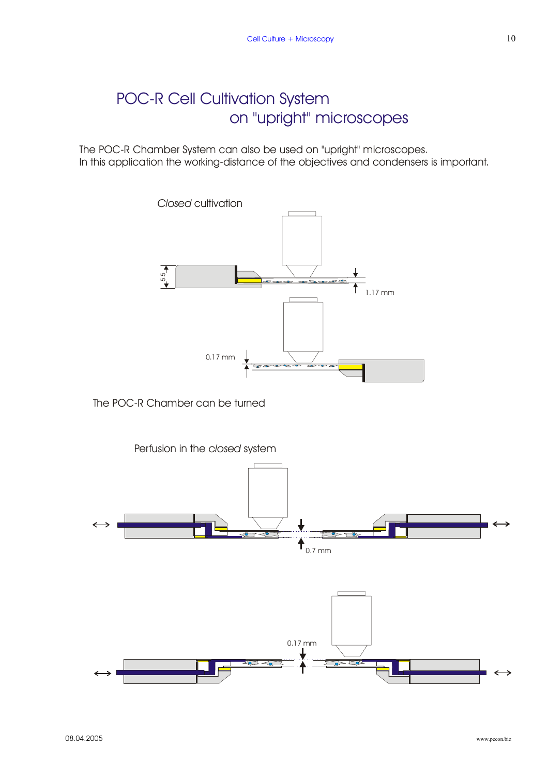# POC-R Cell Cultivation System on "upright" microscopes

The POC-R Chamber System can also be used on "upright" microscopes. In this application the working-distance of the objectives and condensers is important.



The POC-R Chamber can be turned

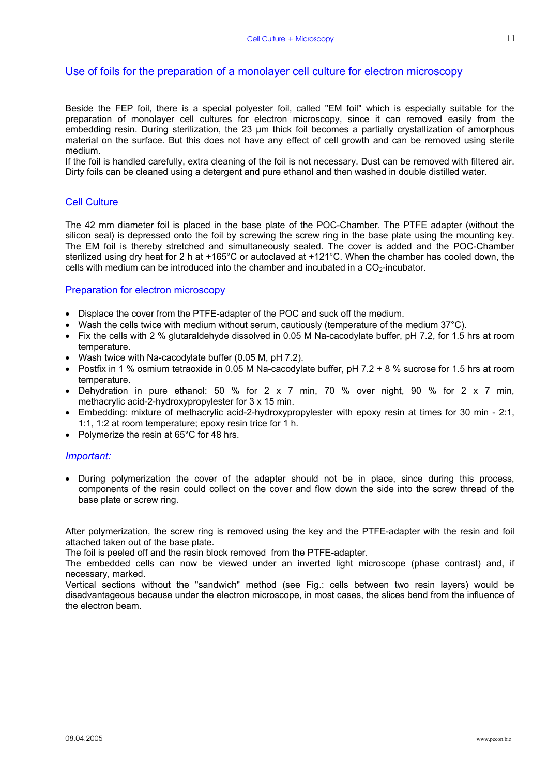### Use of foils for the preparation of a monolayer cell culture for electron microscopy

Beside the FEP foil, there is a special polyester foil, called "EM foil" which is especially suitable for the preparation of monolayer cell cultures for electron microscopy, since it can removed easily from the embedding resin. During sterilization, the 23 µm thick foil becomes a partially crystallization of amorphous material on the surface. But this does not have any effect of cell growth and can be removed using sterile medium.

If the foil is handled carefully, extra cleaning of the foil is not necessary. Dust can be removed with filtered air. Dirty foils can be cleaned using a detergent and pure ethanol and then washed in double distilled water.

#### Cell Culture

The 42 mm diameter foil is placed in the base plate of the POC-Chamber. The PTFE adapter (without the silicon seal) is depressed onto the foil by screwing the screw ring in the base plate using the mounting key. The EM foil is thereby stretched and simultaneously sealed. The cover is added and the POC-Chamber sterilized using dry heat for 2 h at +165°C or autoclaved at +121°C. When the chamber has cooled down, the cells with medium can be introduced into the chamber and incubated in a  $CO<sub>2</sub>$ -incubator.

#### Preparation for electron microscopy

- Displace the cover from the PTFE-adapter of the POC and suck off the medium.
- Wash the cells twice with medium without serum, cautiously (temperature of the medium 37°C).
- Fix the cells with 2 % glutaraldehyde dissolved in 0.05 M Na-cacodylate buffer, pH 7.2, for 1.5 hrs at room temperature.
- Wash twice with Na-cacodylate buffer (0.05 M, pH 7.2).
- Postfix in 1 % osmium tetraoxide in 0.05 M Na-cacodylate buffer, pH 7.2 + 8 % sucrose for 1.5 hrs at room temperature.
- Dehydration in pure ethanol: 50 % for 2 x 7 min, 70 % over night, 90 % for 2 x 7 min, methacrylic acid-2-hydroxypropylester for 3 x 15 min.
- Embedding: mixture of methacrylic acid-2-hydroxypropylester with epoxy resin at times for 30 min 2:1, 1:1, 1:2 at room temperature; epoxy resin trice for 1 h.
- Polymerize the resin at 65°C for 48 hrs.

#### *Important:*

• During polymerization the cover of the adapter should not be in place, since during this process, components of the resin could collect on the cover and flow down the side into the screw thread of the base plate or screw ring.

After polymerization, the screw ring is removed using the key and the PTFE-adapter with the resin and foil attached taken out of the base plate.

The foil is peeled off and the resin block removed from the PTFE-adapter.

The embedded cells can now be viewed under an inverted light microscope (phase contrast) and, if necessary, marked.

Vertical sections without the "sandwich" method (see Fig.: cells between two resin layers) would be disadvantageous because under the electron microscope, in most cases, the slices bend from the influence of the electron beam.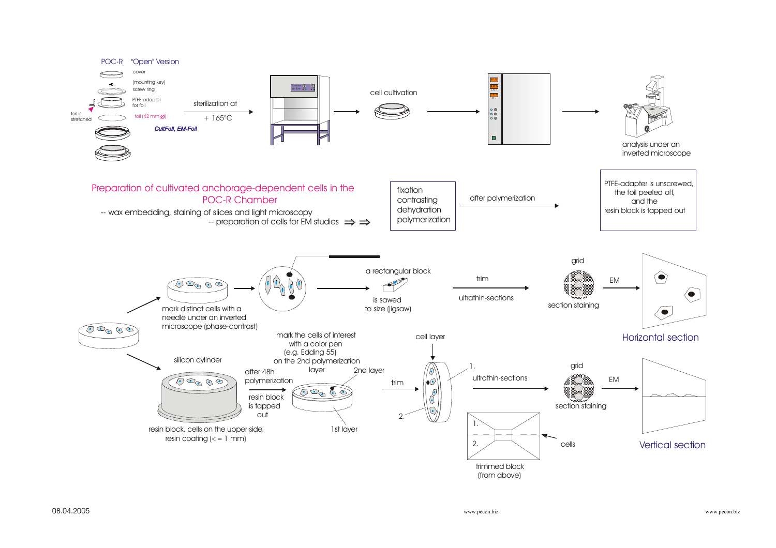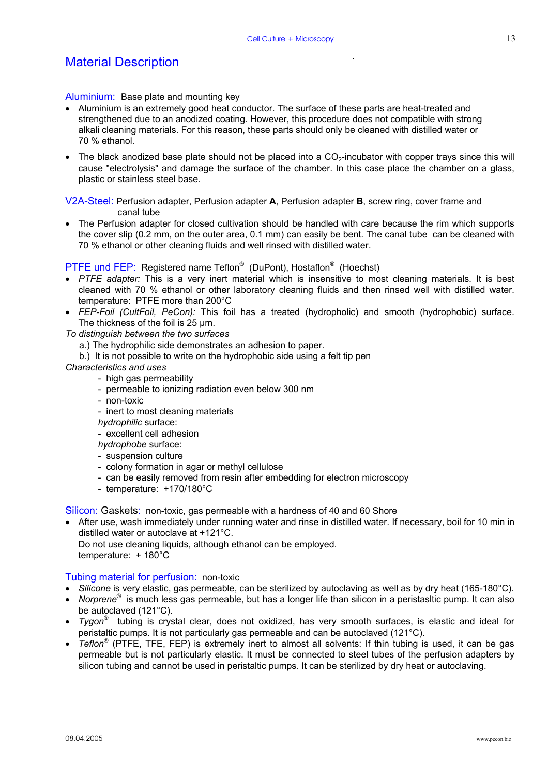### Material Description

Aluminium: Base plate and mounting key

- Aluminium is an extremely good heat conductor. The surface of these parts are heat-treated and strengthened due to an anodized coating. However, this procedure does not compatible with strong alkali cleaning materials. For this reason, these parts should only be cleaned with distilled water or 70 % ethanol.
- The black anodized base plate should not be placed into a  $CO<sub>2</sub>$ -incubator with copper trays since this will cause "electrolysis" and damage the surface of the chamber. In this case place the chamber on a glass, plastic or stainless steel base.

V2A-Steel: Perfusion adapter, Perfusion adapter **A**, Perfusion adapter **B**, screw ring, cover frame and canal tube

• The Perfusion adapter for closed cultivation should be handled with care because the rim which supports the cover slip (0.2 mm, on the outer area, 0.1 mm) can easily be bent. The canal tube can be cleaned with 70 % ethanol or other cleaning fluids and well rinsed with distilled water.

#### PTFE und FEP: Registered name Teflon<sup>®</sup> (DuPont), Hostaflon<sup>®</sup> (Hoechst)

- *PTFE adapter:* This is a very inert material which is insensitive to most cleaning materials. It is best cleaned with 70 % ethanol or other laboratory cleaning fluids and then rinsed well with distilled water. temperature: PTFE more than 200°C
- *FEP-Foil (CultFoil, PeCon):* This foil has a treated (hydropholic) and smooth (hydrophobic) surface. The thickness of the foil is 25 µm.

*To distinguish between the two surfaces* 

- a.) The hydrophilic side demonstrates an adhesion to paper.
- b.) It is not possible to write on the hydrophobic side using a felt tip pen
- *Characteristics and uses* 
	- high gas permeability
	- permeable to ionizing radiation even below 300 nm
	- non-toxic
	- inert to most cleaning materials
	- *hydrophilic* surface:

- excellent cell adhesion

- *hydrophobe* surface:
- suspension culture
- colony formation in agar or methyl cellulose
- can be easily removed from resin after embedding for electron microscopy
- temperature: +170/180°C

Silicon: Gaskets: non-toxic, gas permeable with a hardness of 40 and 60 Shore

• After use, wash immediately under running water and rinse in distilled water. If necessary, boil for 10 min in distilled water or autoclave at +121°C.

 Do not use cleaning liquids, although ethanol can be employed. temperature: + 180°C

#### Tubing material for perfusion: non-toxic

- *Silicone* is very elastic, gas permeable, can be sterilized by autoclaving as well as by dry heat (165-180°C).
- *Norprene*® is much less gas permeable, but has a longer life than silicon in a peristasltic pump. It can also be autoclaved (121°C).
- *Tygon*® tubing is crystal clear, does not oxidized, has very smooth surfaces, is elastic and ideal for peristaltic pumps. It is not particularly gas permeable and can be autoclaved (121°C).
- *Teflon*<sup>®</sup> (PTFE, TFE, FEP) is extremely inert to almost all solvents: If thin tubing is used, it can be gas permeable but is not particularly elastic. It must be connected to steel tubes of the perfusion adapters by silicon tubing and cannot be used in peristaltic pumps. It can be sterilized by dry heat or autoclaving.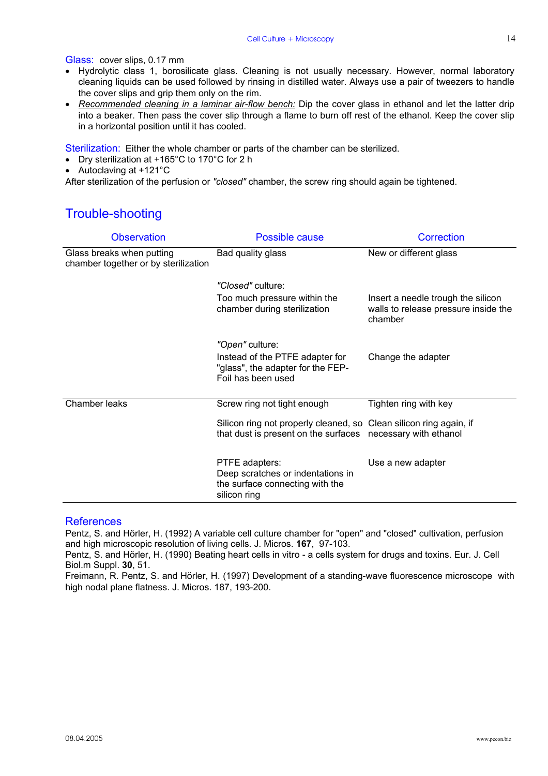Glass: cover slips, 0.17 mm

- Hydrolytic class 1, borosilicate glass. Cleaning is not usually necessary. However, normal laboratory cleaning liquids can be used followed by rinsing in distilled water. Always use a pair of tweezers to handle the cover slips and grip them only on the rim.
- *Recommended cleaning in a laminar air-flow bench:* Dip the cover glass in ethanol and let the latter drip into a beaker. Then pass the cover slip through a flame to burn off rest of the ethanol. Keep the cover slip in a horizontal position until it has cooled.

Sterilization: Either the whole chamber or parts of the chamber can be sterilized.

- Dry sterilization at +165°C to 170°C for 2 h
- Autoclaving at +121°C

After sterilization of the perfusion or *"closed"* chamber, the screw ring should again be tightened.

### Trouble-shooting

| <b>Observation</b>                                                | Possible cause                                                                                                                    | Correction                                                                            |  |
|-------------------------------------------------------------------|-----------------------------------------------------------------------------------------------------------------------------------|---------------------------------------------------------------------------------------|--|
| Glass breaks when putting<br>chamber together or by sterilization | Bad quality glass                                                                                                                 | New or different glass                                                                |  |
|                                                                   | "Closed" culture:                                                                                                                 |                                                                                       |  |
|                                                                   | Too much pressure within the<br>chamber during sterilization                                                                      | Insert a needle trough the silicon<br>walls to release pressure inside the<br>chamber |  |
|                                                                   | "Open" culture:                                                                                                                   |                                                                                       |  |
|                                                                   | Instead of the PTFE adapter for<br>"glass", the adapter for the FEP-<br>Foil has been used                                        | Change the adapter                                                                    |  |
| Chamber leaks                                                     | Screw ring not tight enough                                                                                                       | Tighten ring with key                                                                 |  |
|                                                                   | Silicon ring not properly cleaned, so Clean silicon ring again, if<br>that dust is present on the surfaces necessary with ethanol |                                                                                       |  |
|                                                                   | PTFE adapters:<br>Deep scratches or indentations in<br>the surface connecting with the<br>silicon ring                            | Use a new adapter                                                                     |  |

#### References

Pentz, S. and Hörler, H. (1992) A variable cell culture chamber for "open" and "closed" cultivation, perfusion and high microscopic resolution of living cells. J. Micros. **167**, 97-103.

Pentz, S. and Hörler, H. (1990) Beating heart cells in vitro - a cells system for drugs and toxins. Eur. J. Cell Biol.m Suppl. **30**, 51.

Freimann, R. Pentz, S. and Hörler, H. (1997) Development of a standing-wave fluorescence microscope with high nodal plane flatness. J. Micros. 187, 193-200.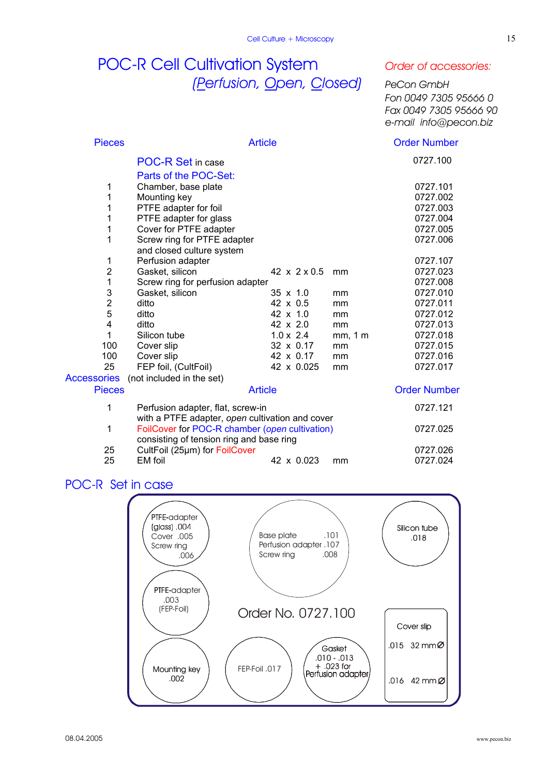# POC-R Cell Cultivation System *Order of accessories: (Perfusion, Open, Closed) PeCon GmbH*

 *Fon 0049 7305 95666 0 Fax 0049 7305 95666 90 e-mail info@pecon.biz*

| <b>Pieces</b>  | <b>Article</b>                                  |                            | <b>Order Number</b> |                     |
|----------------|-------------------------------------------------|----------------------------|---------------------|---------------------|
|                | <b>POC-R Set in case</b>                        |                            |                     | 0727.100            |
|                | Parts of the POC-Set:                           |                            |                     |                     |
| 1              | Chamber, base plate                             |                            |                     | 0727.101            |
| 1              | Mounting key                                    |                            |                     | 0727.002            |
| 1              | PTFE adapter for foil                           |                            |                     | 0727.003            |
| 1              | PTFE adapter for glass                          |                            |                     | 0727.004            |
| 1              | Cover for PTFE adapter                          |                            |                     | 0727.005            |
| 1              | Screw ring for PTFE adapter                     |                            |                     | 0727.006            |
|                | and closed culture system                       |                            |                     |                     |
| 1              | Perfusion adapter                               |                            |                     | 0727.107            |
| $\overline{2}$ | Gasket, silicon                                 | 42 $\times$ 2 $\times$ 0.5 | mm                  | 0727.023            |
| 1              | Screw ring for perfusion adapter                |                            |                     | 0727.008            |
| 3              | Gasket, silicon                                 | $35 \times 1.0$            | mm                  | 0727.010            |
| $\overline{2}$ | ditto                                           | 42 x 0.5                   | mm                  | 0727.011            |
| 5              | ditto                                           | 42 x 1.0                   | mm                  | 0727.012            |
| 4              | ditto                                           | 42 x 2.0                   | mm                  | 0727.013            |
| 1              | Silicon tube                                    | $1.0 \times 2.4$           | mm, 1 m             | 0727.018            |
| 100            | Cover slip                                      | 32 x 0.17                  | mm                  | 0727.015            |
| 100            | Cover slip                                      | 42 x 0.17                  | mm                  | 0727.016            |
| 25             | FEP foil, (CultFoil)                            | 42 x 0.025                 | mm                  | 0727.017            |
| Accessories    | (not included in the set)                       |                            |                     |                     |
| <b>Pieces</b>  |                                                 | <b>Article</b>             |                     | <b>Order Number</b> |
| 1              | Perfusion adapter, flat, screw-in               |                            |                     | 0727.121            |
|                | with a PTFE adapter, open cultivation and cover |                            |                     |                     |
| 1              | FoilCover for POC-R chamber (open cultivation)  |                            |                     | 0727.025            |
|                | consisting of tension ring and base ring        |                            |                     |                     |
| 25             | CultFoil (25µm) for FoilCover                   |                            |                     | 0727.026            |
| 25             | EM foil                                         | 42 x 0.023                 | mm                  | 0727.024            |

### POC-R Set in case

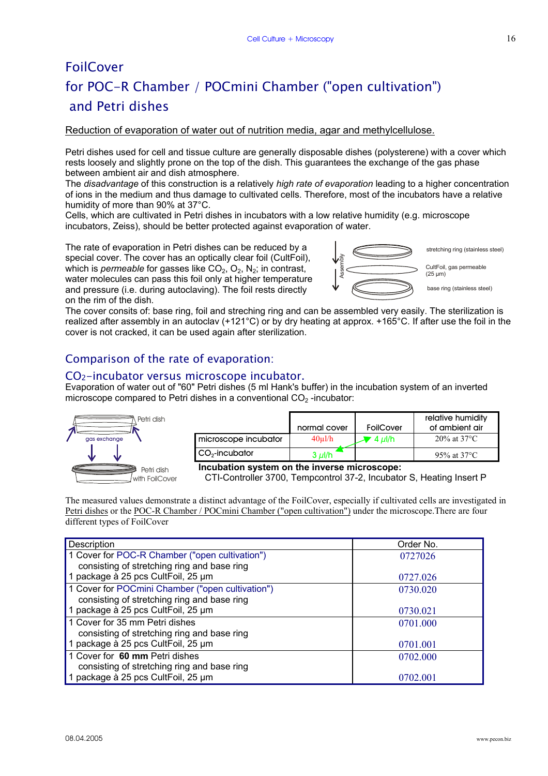# **FoilCover** for POC-R Chamber / POCmini Chamber ("open cultivation") and Petri dishes

#### Reduction of evaporation of water out of nutrition media, agar and methylcellulose.

Petri dishes used for cell and tissue culture are generally disposable dishes (polysterene) with a cover which rests loosely and slightly prone on the top of the dish. This guarantees the exchange of the gas phase between ambient air and dish atmosphere.

The *disadvantage* of this construction is a relatively *high rate of evaporation* leading to a higher concentration of ions in the medium and thus damage to cultivated cells. Therefore, most of the incubators have a relative humidity of more than 90% at 37°C.

Cells, which are cultivated in Petri dishes in incubators with a low relative humidity (e.g. microscope incubators, Zeiss), should be better protected against evaporation of water.

The rate of evaporation in Petri dishes can be reduced by a special cover. The cover has an optically clear foil (CultFoil), which is *permeable* for gasses like  $CO<sub>2</sub>$ ,  $O<sub>2</sub>$ , N<sub>2</sub>; in contrast, water molecules can pass this foil only at higher temperature and pressure (i.e. during autoclaving). The foil rests directly on the rim of the dish.



stretching ring (stainless steel)

CultFoil, gas permeable

base ring (stainless steel)

The cover consits of: base ring, foil and streching ring and can be assembled very easily. The sterilization is realized after assembly in an autoclav (+121°C) or by dry heating at approx. +165°C. If after use the foil in the cover is not cracked, it can be used again after sterilization.

### Comparison of the rate of evaporation:

#### CO2-incubator versus microscope incubator.

Evaporation of water out of "60" Petri dishes (5 ml Hank's buffer) in the incubation system of an inverted microscope compared to Petri dishes in a conventional  $CO<sub>2</sub>$ -incubator:



|                            | normal cover | FoilCover | relative humidity<br>of ambient air |
|----------------------------|--------------|-----------|-------------------------------------|
| microscope incubator       | $40$ ul/h    | ' 4 μl/h  | $20\%$ at 37 °C                     |
| CO <sub>2</sub> -incubator | 3 $\mu$ l/h  |           | 95% at $37^{\circ}$ C               |

**Incubation system on the inverse microscope:**

CTI-Controller 3700, Tempcontrol 37-2, Incubator S, Heating Insert P

The measured values demonstrate a distinct advantage of the FoilCover, especially if cultivated cells are investigated in Petri dishes or the POC-R Chamber / POCmini Chamber ("open cultivation") under the microscope.There are four different types of FoilCover

| Description                                      | Order No. |
|--------------------------------------------------|-----------|
| 1 Cover for POC-R Chamber ("open cultivation")   | 0727026   |
| consisting of stretching ring and base ring      |           |
| 1 package à 25 pcs CultFoil, 25 µm               | 0727.026  |
| 1 Cover for POCmini Chamber ("open cultivation") | 0730.020  |
| consisting of stretching ring and base ring      |           |
| 1 package à 25 pcs CultFoil, 25 µm               | 0730.021  |
| 1 Cover for 35 mm Petri dishes                   | 0701.000  |
| consisting of stretching ring and base ring      |           |
| 1 package à 25 pcs CultFoil, 25 µm               | 0701.001  |
| 1 Cover for 60 mm Petri dishes                   | 0702.000  |
| consisting of stretching ring and base ring      |           |
| 1 package à 25 pcs CultFoil, 25 µm               | 0702.001  |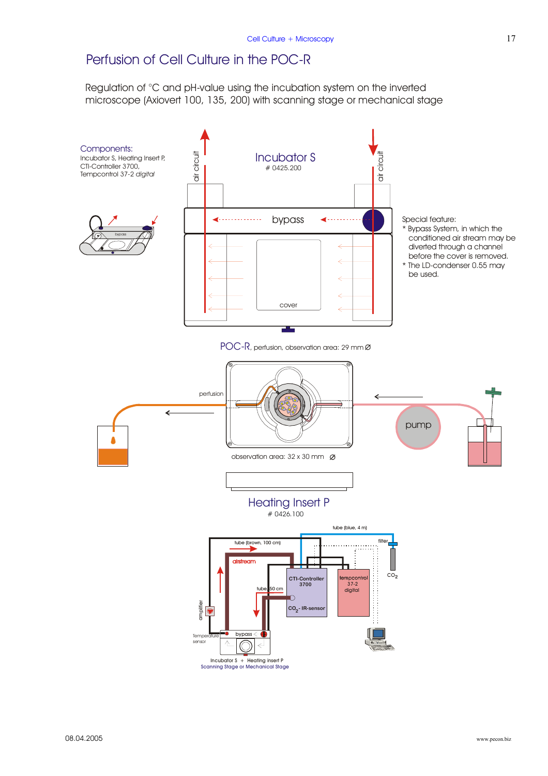### Perfusion of Cell Culture in the POC-R

Regulation of °C and pH-value using the incubation system on the inverted microscope (Axiovert 100, 135, 200) with scanning stage or mechanical stage

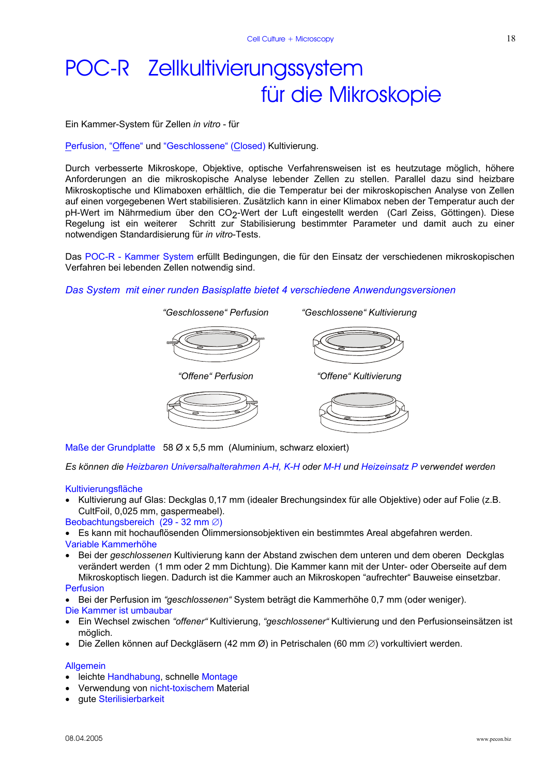# POC-R Zellkultivierungssystem für die Mikroskopie

Ein Kammer-System für Zellen *in vitro* - für

Perfusion, "Offene" und "Geschlossene" (Closed) Kultivierung.

Durch verbesserte Mikroskope, Objektive, optische Verfahrensweisen ist es heutzutage möglich, höhere Anforderungen an die mikroskopische Analyse lebender Zellen zu stellen. Parallel dazu sind heizbare Mikroskoptische und Klimaboxen erhältlich, die die Temperatur bei der mikroskopischen Analyse von Zellen auf einen vorgegebenen Wert stabilisieren. Zusätzlich kann in einer Klimabox neben der Temperatur auch der pH-Wert im Nährmedium über den CO<sub>2</sub>-Wert der Luft eingestellt werden (Carl Zeiss, Göttingen). Diese Regelung ist ein weiterer Schritt zur Stabilisierung bestimmter Parameter und damit auch zu einer notwendigen Standardisierung für *in vitro*-Tests.

Das POC-R - Kammer System erfüllt Bedingungen, die für den Einsatz der verschiedenen mikroskopischen Verfahren bei lebenden Zellen notwendig sind.

 *"Geschlossene" Perfusion "Geschlossene" Kultivierung* 

#### *Das System mit einer runden Basisplatte bietet 4 verschiedene Anwendungsversionen*



 *"Offene" Perfusion "Offene" Kultivierung* 





Maße der Grundplatte58 Ø x 5,5 mm (Aluminium, schwarz eloxiert)

*Es können die Heizbaren Universalhalterahmen A-H, K-H oder M-H und Heizeinsatz P verwendet werden* 

#### **Kultivierungsfläche**

• Kultivierung auf Glas: Deckglas 0,17 mm (idealer Brechungsindex für alle Objektive) oder auf Folie (z.B. CultFoil, 0,025 mm, gaspermeabel).

Beobachtungsbereich (29 - 32 mm ∅)

• Es kann mit hochauflösenden Ölimmersionsobjektiven ein bestimmtes Areal abgefahren werden.

#### Variable Kammerhöhe

• Bei der *geschlossenen* Kultivierung kann der Abstand zwischen dem unteren und dem oberen Deckglas verändert werden (1 mm oder 2 mm Dichtung). Die Kammer kann mit der Unter- oder Oberseite auf dem Mikroskoptisch liegen. Dadurch ist die Kammer auch an Mikroskopen "aufrechter" Bauweise einsetzbar.

#### Perfusion

• Bei der Perfusion im *"geschlossenen"* System beträgt die Kammerhöhe 0,7 mm (oder weniger). Die Kammer ist umbaubar

- Ein Wechsel zwischen *"offener"* Kultivierung, *"geschlossener"* Kultivierung und den Perfusionseinsätzen ist möglich.
- Die Zellen können auf Deckgläsern (42 mm Ø) in Petrischalen (60 mm ∅) vorkultiviert werden.

#### **Allgemein**

- leichte Handhabung, schnelle Montage
- Verwendung von nicht-toxischem Material
- gute Sterilisierbarkeit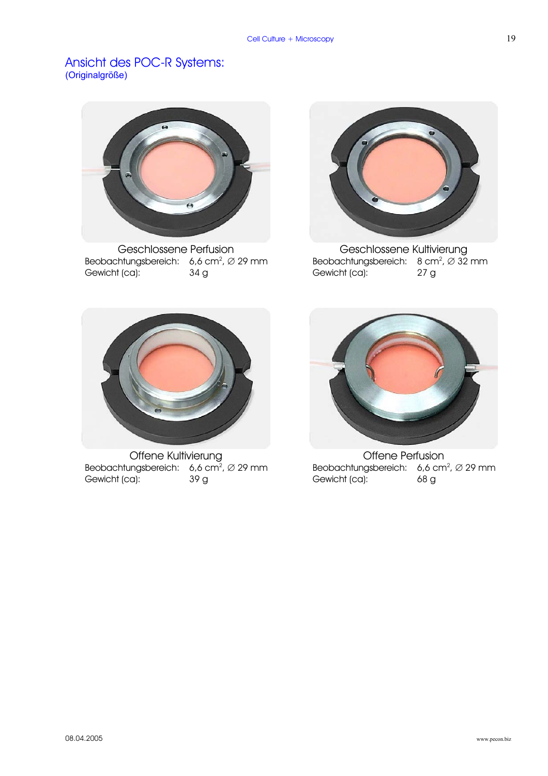### Ansicht des POC-R Systems: (Originalgröße)



Geschlossene Perfusion Geschlossene Kultivierung Beobachtungsbereich: 6,6 cm<sup>2</sup>,  $\varnothing$  29 mm Gewicht (ca): 34 g



Beobachtungsbereich:  $8 \text{ cm}^2$ ,  $\varnothing$  32 mm Gewicht (ca): 27 g



Offene Kultivierung **Communist Communist Communist Communist Communist Communist Communist Communist Communist Communist Communist Communist Communist Communist Communist Communist Communist Communist Communist Communist C** Beobachtungsbereich: 6,6 cm<sup>2</sup>,  $\varnothing$  29 mm Gewicht (ca): 39 g



Beobachtungsbereich: 6,6 cm<sup>2</sup>,  $\varnothing$  29 mm Gewicht (ca): 68 g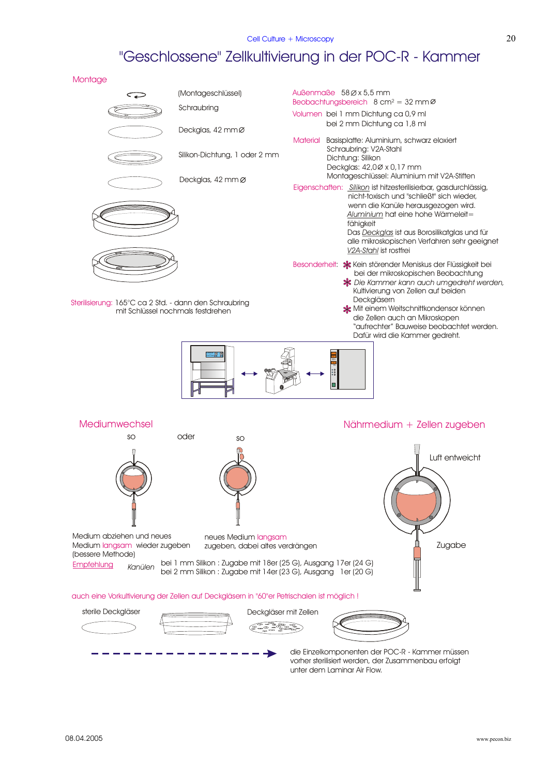# "Geschlossene" Zellkultivierung in der POC-R - Kammer



unter dem Laminar Air Flow.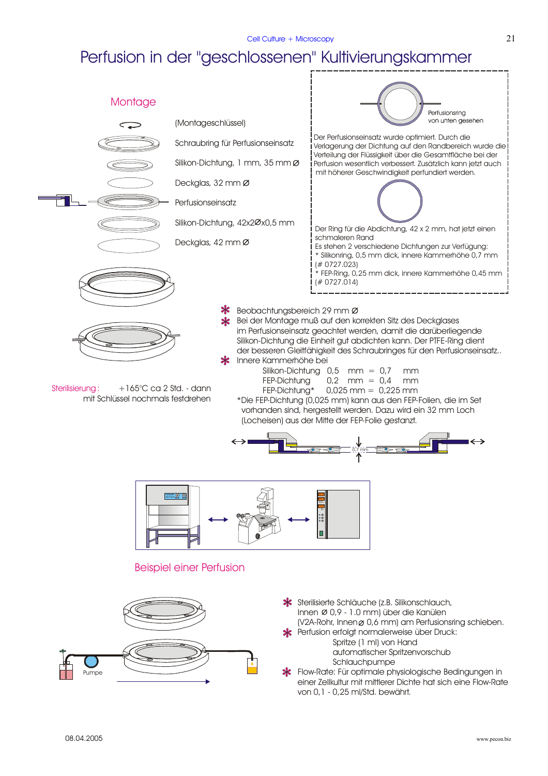# Perfusion in der "geschlossenen" Kultivierungskammer

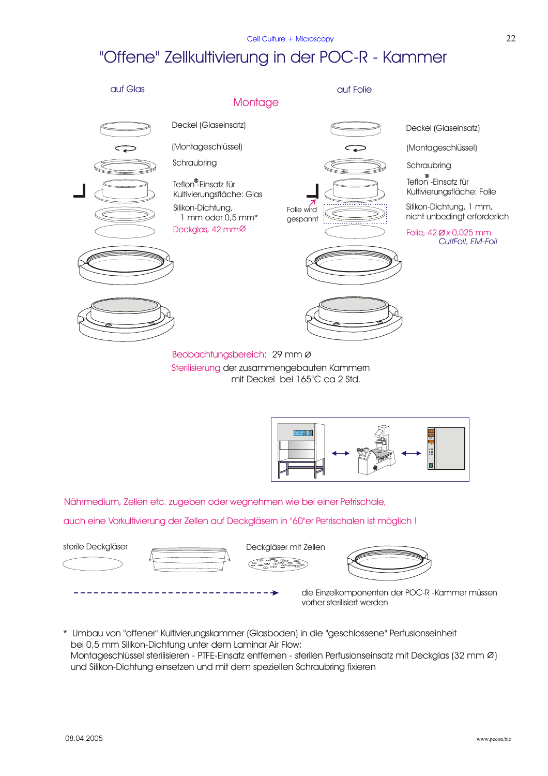# "Offene" Zellkultivierung in der POC-R - Kammer





Nährmedium, Zellen etc. zugeben oder wegnehmen wie bei einer Petrischale,

auch eine Vorkultivierung der Zellen auf Deckgläsern in "60"er Petrischalen ist möglich !



\* Umbau von "offener" Kultivierungskammer (Glasboden) in die "geschlossene" Perfusionseinheit bei 0,5 mm Silikon-Dichtung unter dem Laminar Air Flow: Montageschlüssel sterilisieren - PTFE-Einsatz entfernen - sterilen Perfusionseinsatz mit Deckglas (32 mm Ø) und Silikon-Dichtung einsetzen und mit dem speziellen Schraubring fixieren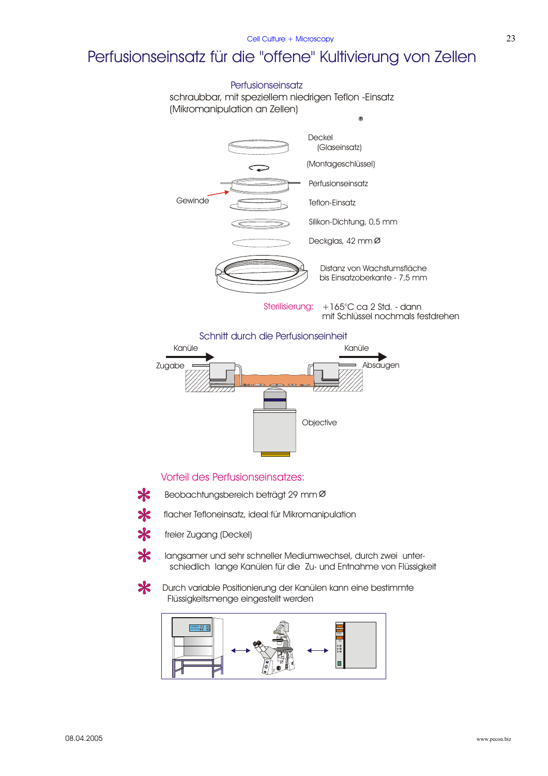# Perfusionseinsatz für die "offene" Kultivierung von Zellen

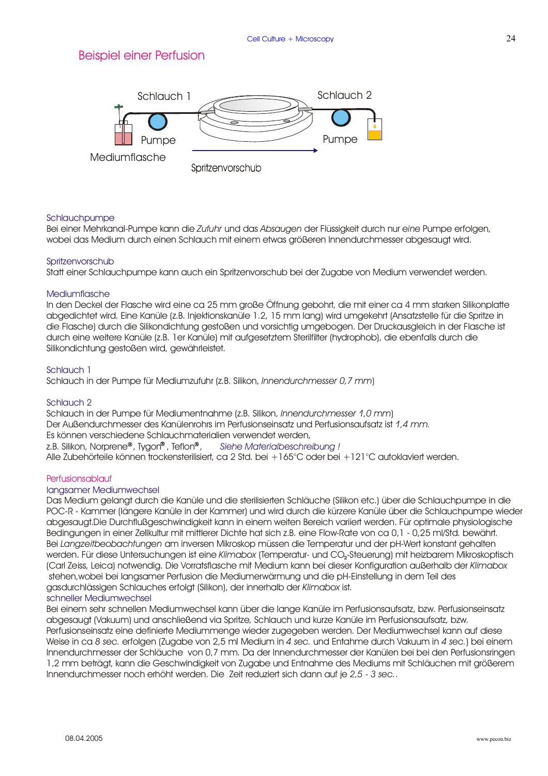### Beispiel einer Perfusion



#### Schlauchpumpe

Bei einer Mehrkanal-Pumpe kann die *Zufuhr* und das *Absaugen* der Flüssigkeit durch nur e*ine* Pumpe erfolgen, wobei das Medium durch einen Schlauch mit einem etwas größeren Innendurchmesser abgesaugt wird.

#### **Spritzenvorschub**

Statt einer Schlauchpumpe kann auch ein Spritzenvorschub bei der Zugabe von Medium verwendet werden.

#### Mediumflasche

In den Deckel der Flasche wird eine ca 25 mm große Öffnung gebohrt, die mit einer ca 4 mm starken Silikonplatte abgedichtet wird. Eine Kanüle (z.B. Injektionskanüle 1.2, 15 mm lang) wird umgekehrt (Ansatzstelle für die Spritze in die Flasche) durch die Silikondichtung gestoßen und vorsichtig umgebogen. Der Druckausgleich in der Flasche ist durch eine weitere Kanüle (z.B. 1er Kanüle) mit aufgesetztem Sterilfilter (hydrophob), die ebenfalls durch die Silikondichtung gestoßen wird, gewährleistet.

#### Schlauch 1

Schlauch in der Pumpe für Mediumzufuhr (z.B. Silikon, ) *Innendurchmesser 0,7 mm*

#### Schlauch 2

Schlauch in der Pumpe für Mediumentnahme (z.B. Silikon, Innendurchmesser 1,0 mm) Der Außendurchmesser des Kanülenrohrs im Perfusionseinsatz und Perfusionsaufsatz ist *1,4 mm.* Es können verschiedene Schlauchmaterialien verwendet werden, z.B. Silikon, Norprene®, Tygon®, Teflon®, Alle Zubehörteile können trockensterilisiert, ca 2 Std. bei +165°C oder bei +121°C autoklaviert werden. *Siehe Materialbeschreibung !*

#### Perfusionsablauf

#### langsamer Mediumwechsel

Das Medium gelangt durch die Kanüle und die sterilisierten Schläuche (Silikon etc.) über die Schlauchpumpe in die POC-R - Kammer (längere Kanüle in der Kammer) und wird durch die kürzere Kanüle über die Schlauchpumpe wieder abgesaugt.Die Durchflußgeschwindigkeit kann in einem weiten Bereich variiert werden. Für optimale physiologische Bedingungen in einer Zellkultur mit mittlerer Dichte hat sich z.B. eine Flow-Rate von ca 0,1 - 0,25 ml/Std. bewährt. Bei *Langzeitbeobachtungen a*m inversen Mikroskop müssen die Temperatur und der pH-Wert konstant gehalten werden. Für diese Untersuchungen ist eine *Klimabox* (Temperatur- und CO<sub>2</sub>-Steuerung) mit heizbarem Mikroskoptisch (Carl Zeiss, Leica) notwendig. Die Vorratsflasche mit Medium kann bei dieser Konfiguration außerhalb der *Klimabox* stehen,wobei bei langsamer Perfusion die Mediumerwärmung und die pH-Einstellung in dem Teil des gasdurchlässigen Schlauches erfolgt (Silikon), der innerhalb der Klimabox ist. schneller Mediumwechsel

#### Bei einem sehr schnellen Mediumwechsel kann über die lange Kanüle im Perfusionsaufsatz, bzw. Perfusionseinsatz abgesaugt (Vakuum) und anschließend via Spritze, Schlauch und kurze Kanüle im Perfusionsaufsatz, bzw. Perfusionseinsatz eine definierte Mediummenge wieder zugegeben werden. Der Mediumwechsel kann auf diese Weise in ca 8 sec. erfolgen (Zugabe von 2,5 ml Medium in 4 sec. und Entahme durch Vakuum in 4 sec.) bei einem Innendurchmesser der Schläuche von 0,7 mm. Da der Innendurchmesser der Kanülen bei bei den Perfusionsringen 1,2 mm beträgt, kann die Geschwindigkeit von Zugabe und Entnahme des Mediums mit Schläuchen mit größerem Innendurchmesser noch erhöht werden. Die Zeit reduziert sich dann auf je 2,5 - 3 sec..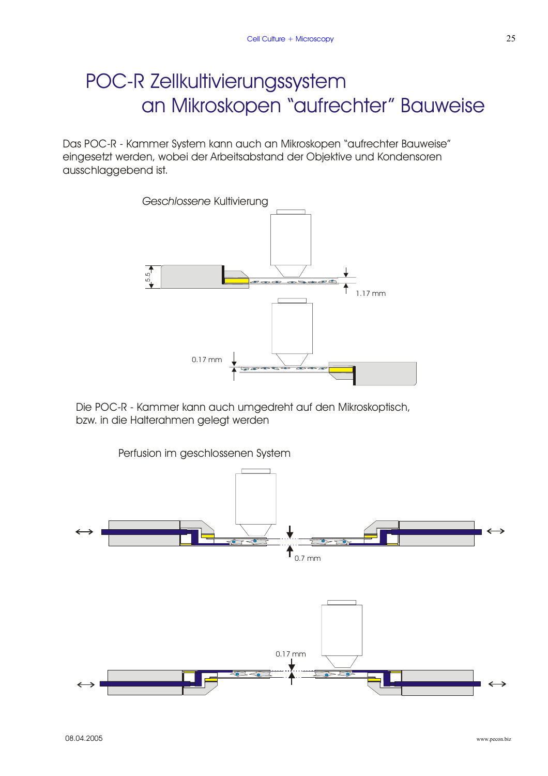# POC-R Zellkultivierungssystem an Mikroskopen "aufrechter" Bauweise

Das POC-R - Kammer System kann auch an Mikroskopen "aufrechter Bauweise" eingesetzt werden, wobei der Arbeitsabstand der Objektive und Kondensoren ausschlaggebend ist.



Die POC-R - Kammer kann auch umgedreht auf den Mikroskoptisch, bzw. in die Halterahmen gelegt werden

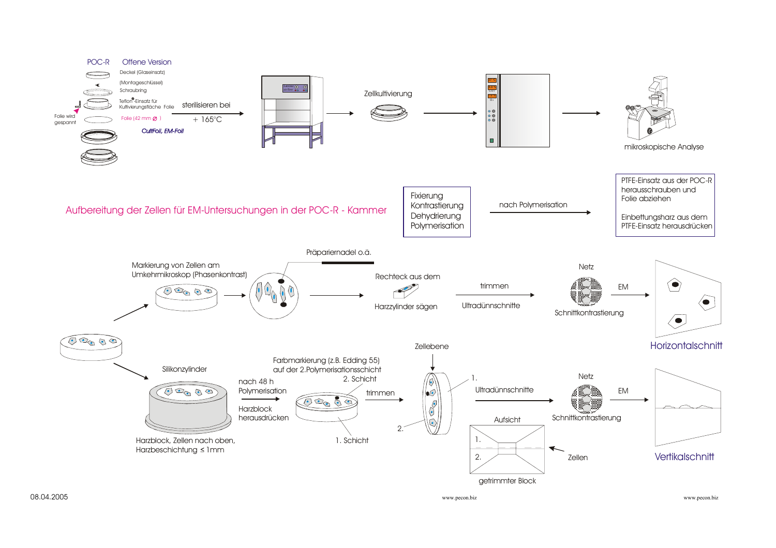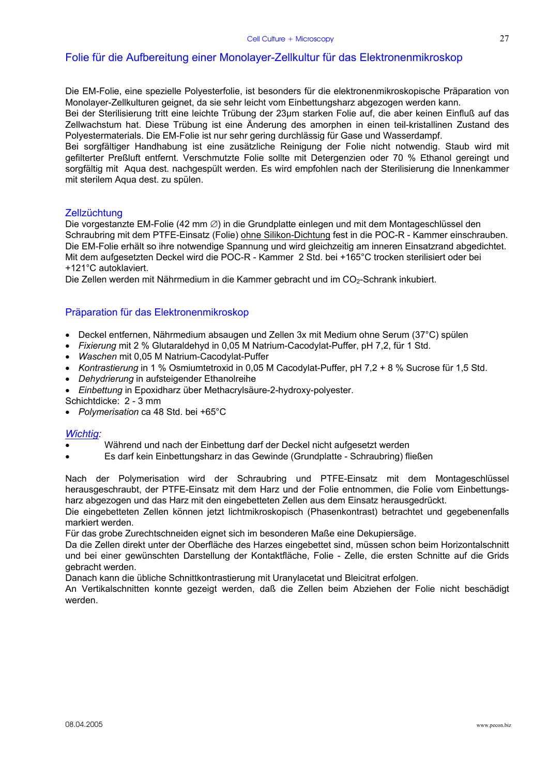### Folie für die Aufbereitung einer Monolayer-Zellkultur für das Elektronenmikroskop

Die EM-Folie, eine spezielle Polyesterfolie, ist besonders für die elektronenmikroskopische Präparation von Monolayer-Zellkulturen geignet, da sie sehr leicht vom Einbettungsharz abgezogen werden kann.

Bei der Sterilisierung tritt eine leichte Trübung der 23µm starken Folie auf, die aber keinen Einfluß auf das Zellwachstum hat. Diese Trübung ist eine Änderung des amorphen in einen teil-kristallinen Zustand des Polyestermaterials. Die EM-Folie ist nur sehr gering durchlässig für Gase und Wasserdampf.

Bei sorgfältiger Handhabung ist eine zusätzliche Reinigung der Folie nicht notwendig. Staub wird mit gefilterter Preßluft entfernt. Verschmutzte Folie sollte mit Detergenzien oder 70 % Ethanol gereingt und sorgfältig mit Aqua dest. nachgespült werden. Es wird empfohlen nach der Sterilisierung die Innenkammer mit sterilem Aqua dest. zu spülen.

#### **Zellzüchtung**

Die vorgestanzte EM-Folie (42 mm ∅) in die Grundplatte einlegen und mit dem Montageschlüssel den Schraubring mit dem PTFE-Einsatz (Folie) ohne Silikon-Dichtung fest in die POC-R - Kammer einschrauben. Die EM-Folie erhält so ihre notwendige Spannung und wird gleichzeitig am inneren Einsatzrand abgedichtet. Mit dem aufgesetzten Deckel wird die POC-R - Kammer 2 Std. bei +165°C trocken sterilisiert oder bei +121°C autoklaviert.

Die Zellen werden mit Nährmedium in die Kammer gebracht und im CO<sub>2</sub>-Schrank inkubiert.

#### Präparation für das Elektronenmikroskop

- Deckel entfernen, Nährmedium absaugen und Zellen 3x mit Medium ohne Serum (37°C) spülen
- *Fixierung* mit 2 % Glutaraldehyd in 0,05 M Natrium-Cacodylat-Puffer, pH 7,2, für 1 Std.
- *Waschen* mit 0,05 M Natrium-Cacodylat-Puffer
- *Kontrastierung* in 1 % Osmiumtetroxid in 0,05 M Cacodylat-Puffer, pH 7,2 + 8 % Sucrose für 1,5 Std.
- *Dehydrierung* in aufsteigender Ethanolreihe
- *Einbettung* in Epoxidharz über Methacrylsäure-2-hydroxy-polyester.
- Schichtdicke: 2 3 mm
- *Polymerisation* ca 48 Std. bei +65°C

#### *Wichtig:*

- Während und nach der Einbettung darf der Deckel nicht aufgesetzt werden
- Es darf kein Einbettungsharz in das Gewinde (Grundplatte Schraubring) fließen

Nach der Polymerisation wird der Schraubring und PTFE-Einsatz mit dem Montageschlüssel herausgeschraubt, der PTFE-Einsatz mit dem Harz und der Folie entnommen, die Folie vom Einbettungsharz abgezogen und das Harz mit den eingebetteten Zellen aus dem Einsatz herausgedrückt.

Die eingebetteten Zellen können jetzt lichtmikroskopisch (Phasenkontrast) betrachtet und gegebenenfalls markiert werden.

Für das grobe Zurechtschneiden eignet sich im besonderen Maße eine Dekupiersäge.

Da die Zellen direkt unter der Oberfläche des Harzes eingebettet sind, müssen schon beim Horizontalschnitt und bei einer gewünschten Darstellung der Kontaktfläche, Folie - Zelle, die ersten Schnitte auf die Grids gebracht werden.

Danach kann die übliche Schnittkontrastierung mit Uranylacetat und Bleicitrat erfolgen.

An Vertikalschnitten konnte gezeigt werden, daß die Zellen beim Abziehen der Folie nicht beschädigt werden.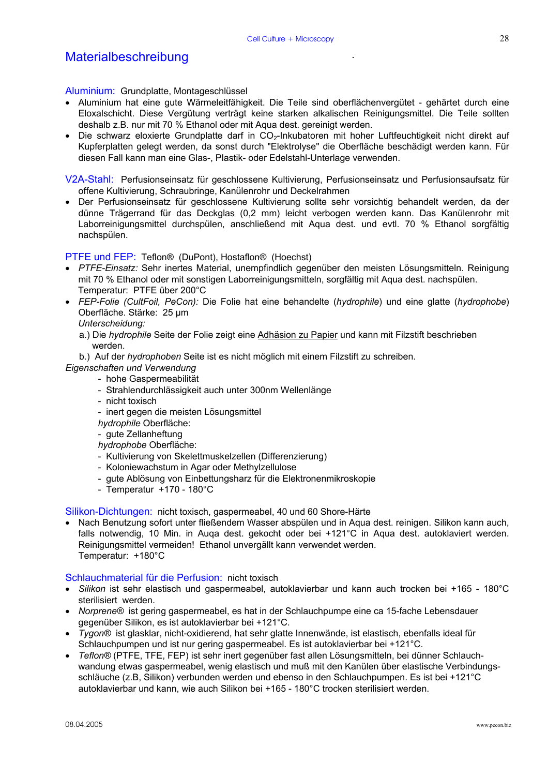### Materialbeschreibung

#### Aluminium: Grundplatte, Montageschlüssel

- Aluminium hat eine gute Wärmeleitfähigkeit. Die Teile sind oberflächenvergütet gehärtet durch eine Eloxalschicht. Diese Vergütung verträgt keine starken alkalischen Reinigungsmittel. Die Teile sollten deshalb z.B. nur mit 70 % Ethanol oder mit Aqua dest. gereinigt werden.
- Die schwarz eloxierte Grundplatte darf in CO<sub>2</sub>-Inkubatoren mit hoher Luftfeuchtigkeit nicht direkt auf Kupferplatten gelegt werden, da sonst durch "Elektrolyse" die Oberfläche beschädigt werden kann. Für diesen Fall kann man eine Glas-, Plastik- oder Edelstahl-Unterlage verwenden.

V2A-Stahl: Perfusionseinsatz für geschlossene Kultivierung, Perfusionseinsatz und Perfusionsaufsatz für offene Kultivierung, Schraubringe, Kanülenrohr und Deckelrahmen

• Der Perfusionseinsatz für geschlossene Kultivierung sollte sehr vorsichtig behandelt werden, da der dünne Trägerrand für das Deckglas (0,2 mm) leicht verbogen werden kann. Das Kanülenrohr mit Laborreinigungsmittel durchspülen, anschließend mit Aqua dest. und evtl. 70 % Ethanol sorgfältig nachspülen.

#### PTFE und FEP: Teflon® (DuPont), Hostaflon® (Hoechst)

- *PTFE-Einsatz:* Sehr inertes Material, unempfindlich gegenüber den meisten Lösungsmitteln. Reinigung mit 70 % Ethanol oder mit sonstigen Laborreinigungsmitteln, sorgfältig mit Aqua dest. nachspülen. Temperatur: PTFE über 200°C
- *FEP-Folie (CultFoil, PeCon):* Die Folie hat eine behandelte (*hydrophile*) und eine glatte (*hydrophobe*) Oberfläche. Stärke: 25 µm

#### *Unterscheidung:*

a.) Die *hydrophile* Seite der Folie zeigt eine Adhäsion zu Papier und kann mit Filzstift beschrieben werden.

b.) Auf der *hydrophoben* Seite ist es nicht möglich mit einem Filzstift zu schreiben.

- *Eigenschaften und Verwendung* 
	- hohe Gaspermeabilität
	- Strahlendurchlässigkeit auch unter 300nm Wellenlänge
	- nicht toxisch
	- inert gegen die meisten Lösungsmittel
	- *hydrophile* Oberfläche:
	- gute Zellanheftung

*hydrophobe* Oberfläche:

- Kultivierung von Skelettmuskelzellen (Differenzierung)
- Koloniewachstum in Agar oder Methylzellulose
- gute Ablösung von Einbettungsharz für die Elektronenmikroskopie
- Temperatur +170 180°C

Silikon-Dichtungen: nicht toxisch, gaspermeabel, 40 und 60 Shore-Härte

• Nach Benutzung sofort unter fließendem Wasser abspülen und in Aqua dest. reinigen. Silikon kann auch, falls notwendig, 10 Min. in Auqa dest. gekocht oder bei +121°C in Aqua dest. autoklaviert werden. Reinigungsmittel vermeiden! Ethanol unvergällt kann verwendet werden. Temperatur: +180°C

#### Schlauchmaterial für die Perfusion: nicht toxisch

- *Silikon* ist sehr elastisch und gaspermeabel, autoklavierbar und kann auch trocken bei +165 180°C sterilisiert werden.
- *Norprene®* ist gering gaspermeabel, es hat in der Schlauchpumpe eine ca 15-fache Lebensdauer gegenüber Silikon, es ist autoklavierbar bei +121°C.
- *Tygon®* ist glasklar, nicht-oxidierend, hat sehr glatte Innenwände, ist elastisch, ebenfalls ideal für Schlauchpumpen und ist nur gering gaspermeabel. Es ist autoklavierbar bei +121°C.
- *Teflon®* (PTFE, TFE, FEP) ist sehr inert gegenüber fast allen Lösungsmitteln, bei dünner Schlauchwandung etwas gaspermeabel, wenig elastisch und muß mit den Kanülen über elastische Verbindungsschläuche (z.B, Silikon) verbunden werden und ebenso in den Schlauchpumpen. Es ist bei +121°C autoklavierbar und kann, wie auch Silikon bei +165 - 180°C trocken sterilisiert werden.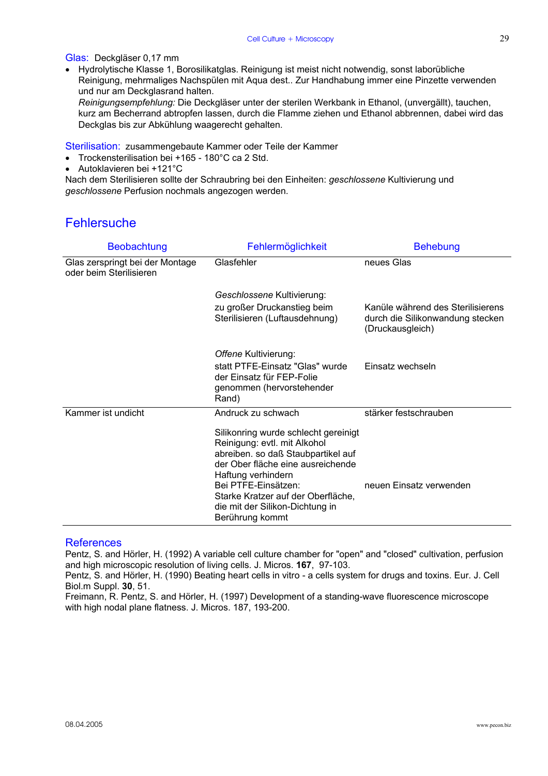Glas: Deckgläser 0,17 mm

• Hydrolytische Klasse 1, Borosilikatglas. Reinigung ist meist nicht notwendig, sonst laborübliche Reinigung, mehrmaliges Nachspülen mit Aqua dest.. Zur Handhabung immer eine Pinzette verwenden und nur am Deckglasrand halten.

 *Reinigungsempfehlung:* Die Deckgläser unter der sterilen Werkbank in Ethanol, (unvergällt), tauchen, kurz am Becherrand abtropfen lassen, durch die Flamme ziehen und Ethanol abbrennen, dabei wird das Deckglas bis zur Abkühlung waagerecht gehalten.

Sterilisation: zusammengebaute Kammer oder Teile der Kammer

- Trockensterilisation bei +165 180°C ca 2 Std.
- Autoklavieren bei +121°C

Nach dem Sterilisieren sollte der Schraubring bei den Einheiten: *geschlossene* Kultivierung und *geschlossene* Perfusion nochmals angezogen werden.

### **Fehlersuche**

| <b>Beobachtung</b>                                         | Fehlermöglichkeit                                                                                                                                                                                                                                                                        | <b>Behebung</b>                                                                           |
|------------------------------------------------------------|------------------------------------------------------------------------------------------------------------------------------------------------------------------------------------------------------------------------------------------------------------------------------------------|-------------------------------------------------------------------------------------------|
| Glas zerspringt bei der Montage<br>oder beim Sterilisieren | Glasfehler                                                                                                                                                                                                                                                                               | neues Glas                                                                                |
|                                                            | Geschlossene Kultivierung:                                                                                                                                                                                                                                                               |                                                                                           |
|                                                            | zu großer Druckanstieg beim<br>Sterilisieren (Luftausdehnung)                                                                                                                                                                                                                            | Kanüle während des Sterilisierens<br>durch die Silikonwandung stecken<br>(Druckausgleich) |
|                                                            | Offene Kultivierung:                                                                                                                                                                                                                                                                     |                                                                                           |
|                                                            | statt PTFE-Einsatz "Glas" wurde<br>der Einsatz für FEP-Folie<br>genommen (hervorstehender<br>Rand)                                                                                                                                                                                       | Einsatz wechseln                                                                          |
| Kammer ist undicht                                         | Andruck zu schwach                                                                                                                                                                                                                                                                       | stärker festschrauben                                                                     |
|                                                            | Silikonring wurde schlecht gereinigt<br>Reinigung: evtl. mit Alkohol<br>abreiben. so daß Staubpartikel auf<br>der Ober fläche eine ausreichende<br>Haftung verhindern<br>Bei PTFE-Einsätzen:<br>Starke Kratzer auf der Oberfläche,<br>die mit der Silikon-Dichtung in<br>Berührung kommt | neuen Einsatz verwenden                                                                   |

#### References

Pentz, S. and Hörler, H. (1992) A variable cell culture chamber for "open" and "closed" cultivation, perfusion and high microscopic resolution of living cells. J. Micros. **167**, 97-103.

Pentz, S. and Hörler, H. (1990) Beating heart cells in vitro - a cells system for drugs and toxins. Eur. J. Cell Biol.m Suppl. **30**, 51.

Freimann, R. Pentz, S. and Hörler, H. (1997) Development of a standing-wave fluorescence microscope with high nodal plane flatness. J. Micros. 187, 193-200.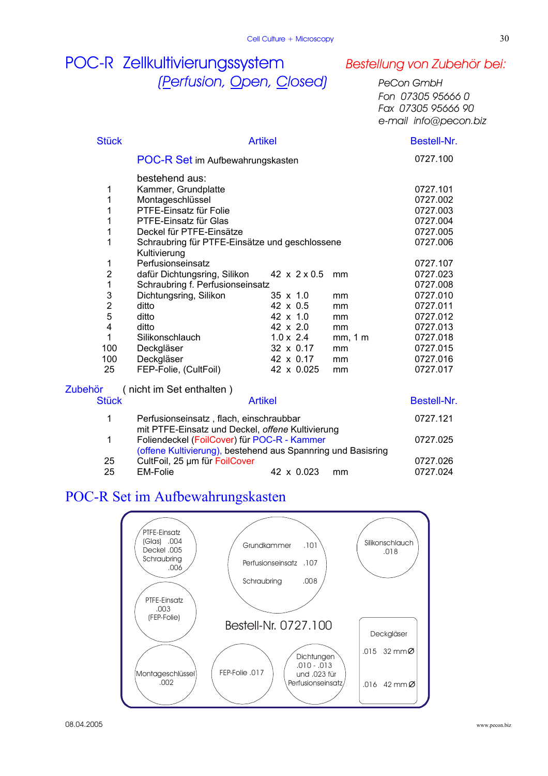# POC-R Zellkultivierungssystem *Bestellung von Zubehör bei: (Perfusion, Open, Closed) PeCon GmbH*

 *Fon 07305 95666 0 Fax 07305 95666 90 e-mail info@pecon.biz*

| <b>Stück</b>                        | <b>Artikel</b>                                                                                              |                  |         | Bestell-Nr.          |
|-------------------------------------|-------------------------------------------------------------------------------------------------------------|------------------|---------|----------------------|
|                                     | POC-R Set im Aufbewahrungskasten                                                                            |                  |         | 0727.100             |
| 1<br>1                              | bestehend aus:<br>Kammer, Grundplatte<br>Montageschlüssel                                                   |                  |         | 0727.101<br>0727.002 |
| 1                                   | PTFE-Einsatz für Folie                                                                                      |                  |         | 0727.003             |
| 1                                   | PTFE-Einsatz für Glas                                                                                       |                  |         | 0727.004             |
| 1                                   | Deckel für PTFE-Einsätze                                                                                    |                  |         | 0727.005             |
| 1                                   | Schraubring für PTFE-Einsätze und geschlossene<br>Kultivierung                                              |                  |         | 0727.006             |
| 1                                   | Perfusionseinsatz                                                                                           |                  |         | 0727.107             |
| $\overline{c}$                      | dafür Dichtungsring, Silikon                                                                                | 42 x 2 x 0.5     | mm      | 0727.023             |
| $\mathbf{1}$                        | Schraubring f. Perfusionseinsatz                                                                            |                  |         | 0727.008             |
| $\mathsf 3$                         | Dichtungsring, Silikon                                                                                      | $35 \times 1.0$  | mm      | 0727.010             |
| $\boldsymbol{2}$                    | ditto                                                                                                       | 42 x 0.5         | mm      | 0727.011             |
| 5                                   | ditto                                                                                                       | 42 x 1.0         | mm      | 0727.012             |
| $\overline{\mathbf{4}}$             | ditto                                                                                                       | 42 x 2.0         | mm      | 0727.013             |
| $\mathbf{1}$                        | Silikonschlauch                                                                                             | $1.0 \times 2.4$ | mm, 1 m | 0727.018             |
| 100                                 | Deckgläser                                                                                                  | 32 x 0.17        | mm      | 0727.015             |
| 100                                 | Deckgläser                                                                                                  | 42 x 0.17        | mm      | 0727.016             |
| 25                                  | FEP-Folie, (CultFoil)                                                                                       | 42 x 0.025       | mm      | 0727.017             |
| (nicht im Set enthalten)<br>Zubehör |                                                                                                             |                  |         |                      |
| <b>Stück</b>                        |                                                                                                             | <b>Artikel</b>   |         | Bestell-Nr.          |
| 1                                   | Perfusionseinsatz, flach, einschraubbar<br>mit PTFE-Einsatz und Deckel, offene Kultivierung                 |                  |         | 0727.121             |
| 1                                   | Foliendeckel (FoilCover) für POC-R - Kammer<br>(offene Kultivierung), bestehend aus Spannring und Basisring |                  |         | 0727.025             |
| 25                                  | CultFoil, 25 um für FoilCover                                                                               |                  |         | 0727.026             |
| 25                                  | <b>EM-Folie</b>                                                                                             | 42 x 0.023       | mm      | 0727.024             |

## POC-R Set im Aufbewahrungskasten

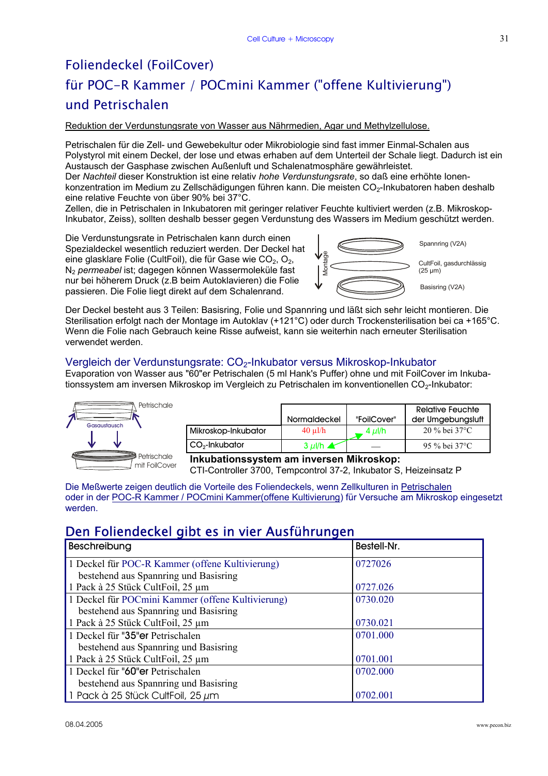# Foliendeckel (FoilCover) für POC-R Kammer / POCmini Kammer ("offene Kultivierung") und Petrischalen

Reduktion der Verdunstungsrate von Wasser aus Nährmedien, Agar und Methylzellulose.

Petrischalen für die Zell- und Gewebekultur oder Mikrobiologie sind fast immer Einmal-Schalen aus Polystyrol mit einem Deckel, der lose und etwas erhaben auf dem Unterteil der Schale liegt. Dadurch ist ein Austausch der Gasphase zwischen Außenluft und Schalenatmosphäre gewährleistet.

Der *Nachteil* dieser Konstruktion ist eine relativ *hohe Verdunstungsrate*, so daß eine erhöhte Ionenkonzentration im Medium zu Zellschädigungen führen kann. Die meisten CO<sub>2</sub>-Inkubatoren haben deshalb eine relative Feuchte von über 90% bei 37°C.

Zellen, die in Petrischalen in Inkubatoren mit geringer relativer Feuchte kultiviert werden (z.B. Mikroskop-Inkubator, Zeiss), sollten deshalb besser gegen Verdunstung des Wassers im Medium geschützt werden.

Die Verdunstungsrate in Petrischalen kann durch einen Spezialdeckel wesentlich reduziert werden. Der Deckel hat eine glasklare Folie (CultFoil), die für Gase wie CO<sub>2</sub>, O<sub>2</sub>, N2 *permeabel* ist; dagegen können Wassermoleküle fast nur bei höherem Druck (z.B beim Autoklavieren) die Folie passieren. Die Folie liegt direkt auf dem Schalenrand.



Spannring (V2A)

CultFoil, gasdurchlässig (25 µm)

Basisring (V2A)

Der Deckel besteht aus 3 Teilen: Basisring, Folie und Spannring und läßt sich sehr leicht montieren. Die Sterilisation erfolgt nach der Montage im Autoklav (+121°C) oder durch Trockensterilisation bei ca +165°C. Wenn die Folie nach Gebrauch keine Risse aufweist, kann sie weiterhin nach erneuter Sterilisation verwendet werden.

#### Vergleich der Verdunstungsrate: CO<sub>2</sub>-Inkubator versus Mikroskop-Inkubator

Evaporation von Wasser aus "60"er Petrischalen (5 ml Hank's Puffer) ohne und mit FoilCover im Inkubationssystem am inversen Mikroskop im Vergleich zu Petrischalen im konventionellen CO<sub>2</sub>-Inkubator:



|                            | Normaldeckel            | "FoilCover" | <b>Relative Feuchte</b><br>der Umgebungsluft |
|----------------------------|-------------------------|-------------|----------------------------------------------|
| Mikroskop-Inkubator        | $40 \text{ u}$ l/h      | 4 μl/h      | $20\%$ bei 37 °C                             |
| CO <sub>2</sub> -Inkubator | $3 \mu$ I/h $\triangle$ |             | 95 % bei 37 °C                               |

**Inkubationssystem am inversen Mikroskop:**

CTI-Controller 3700, Tempcontrol 37-2, Inkubator S, Heizeinsatz P

Die Meßwerte zeigen deutlich die Vorteile des Foliendeckels, wenn Zellkulturen in Petrischalen oder in der POC-R Kammer / POCmini Kammer(offene Kultivierung) für Versuche am Mikroskop eingesetzt werden.

### Den Foliendeckel gibt es in vier Ausführungen

| Beschreibung                                      | Bestell-Nr. |
|---------------------------------------------------|-------------|
| 1 Deckel für POC-R Kammer (offene Kultivierung)   | 0727026     |
| bestehend aus Spannring und Basisring             |             |
| 1 Pack à 25 Stück CultFoil, 25 µm                 | 0727.026    |
| 1 Deckel für POCmini Kammer (offene Kultivierung) | 0730.020    |
| bestehend aus Spannring und Basisring             |             |
| 1 Pack à 25 Stück CultFoil, 25 µm                 | 0730.021    |
| 1 Deckel für "35" er Petrischalen                 | 0701.000    |
| bestehend aus Spannring und Basisring             |             |
| 1 Pack à 25 Stück CultFoil, 25 µm                 | 0701.001    |
| 1 Deckel für "60" er Petrischalen                 | 0702.000    |
| bestehend aus Spannring und Basisring             |             |
| 1 Pack à 25 Stück CultFoil, 25 $\mu$ m            | 0702.001    |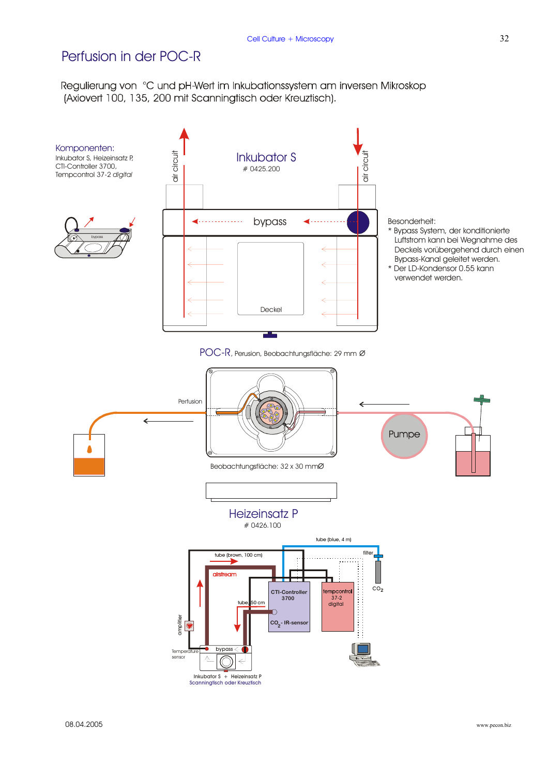### Perfusion in der POC-R

Regulierung von °C und pH-Wert im Inkubationssystem am inversen Mikroskop (Axiovert 100, 135, 200 mit Scanningtisch oder Kreuztisch).